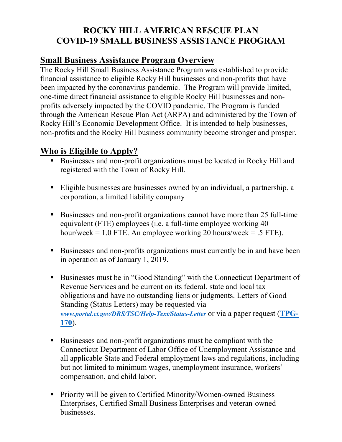## **ROCKY HILL AMERICAN RESCUE PLAN COVID-19 SMALL BUSINESS ASSISTANCE PROGRAM**

## **Small Business Assistance Program Overview**

The Rocky Hill Small Business Assistance Program was established to provide financial assistance to eligible Rocky Hill businesses and non-profits that have been impacted by the coronavirus pandemic. The Program will provide limited, one-time direct financial assistance to eligible Rocky Hill businesses and nonprofits adversely impacted by the COVID pandemic. The Program is funded through the American Rescue Plan Act (ARPA) and administered by the Town of Rocky Hill's Economic Development Office. It is intended to help businesses, non-profits and the Rocky Hill business community become stronger and prosper.

## **Who is Eligible to Apply?**

- Businesses and non-profit organizations must be located in Rocky Hill and registered with the Town of Rocky Hill.
- Eligible businesses are businesses owned by an individual, a partnership, a corporation, a limited liability company
- Businesses and non-profit organizations cannot have more than 25 full-time equivalent (FTE) employees (i.e. a full-time employee working 40 hour/week = 1.0 FTE. An employee working 20 hours/week = .5 FTE).
- Businesses and non-profits organizations must currently be in and have been in operation as of January 1, 2019.
- Businesses must be in "Good Standing" with the Connecticut Department of Revenue Services and be current on its federal, state and local tax obligations and have no outstanding liens or judgments. Letters of Good Standing (Status Letters) may be requested via *[www.portal.ct.gov/DRS/TSC/Help-Text/Status-Letter](http://www.portal.ct.gov/DRS/TSC/Help-Text/Status-Letter)* or via a paper request (**[TPG-](https://portal.ct.gov/-/media/DRS/RightNow/StatusLetters/TPG-170.pdf)[170](https://portal.ct.gov/-/media/DRS/RightNow/StatusLetters/TPG-170.pdf)**).
- Businesses and non-profit organizations must be compliant with the Connecticut Department of Labor Office of Unemployment Assistance and all applicable State and Federal employment laws and regulations, including but not limited to minimum wages, unemployment insurance, workers' compensation, and child labor.
- Priority will be given to Certified Minority/Women-owned Business Enterprises, Certified Small Business Enterprises and veteran-owned businesses.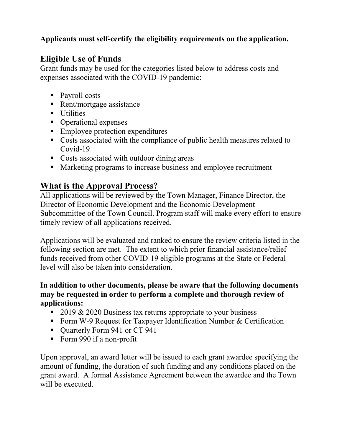### **Applicants must self-certify the eligibility requirements on the application.**

### **Eligible Use of Funds**

Grant funds may be used for the categories listed below to address costs and expenses associated with the COVID-19 pandemic:

- Payroll costs
- Rent/mortgage assistance
- **Utilities**
- Operational expenses
- **Employee protection expenditures**
- Costs associated with the compliance of public health measures related to Covid-19
- Costs associated with outdoor dining areas
- Marketing programs to increase business and employee recruitment

# **What is the Approval Process?**

All applications will be reviewed by the Town Manager, Finance Director, the Director of Economic Development and the Economic Development Subcommittee of the Town Council. Program staff will make every effort to ensure timely review of all applications received.

Applications will be evaluated and ranked to ensure the review criteria listed in the following section are met. The extent to which prior financial assistance/relief funds received from other COVID-19 eligible programs at the State or Federal level will also be taken into consideration.

#### **In addition to other documents, please be aware that the following documents may be requested in order to perform a complete and thorough review of applications:**

- $\approx 2019 \& 2020$  Business tax returns appropriate to your business
- Form W-9 Request for Taxpayer Identification Number & Certification
- Quarterly Form 941 or CT 941
- Form 990 if a non-profit

Upon approval, an award letter will be issued to each grant awardee specifying the amount of funding, the duration of such funding and any conditions placed on the grant award. A formal Assistance Agreement between the awardee and the Town will be executed.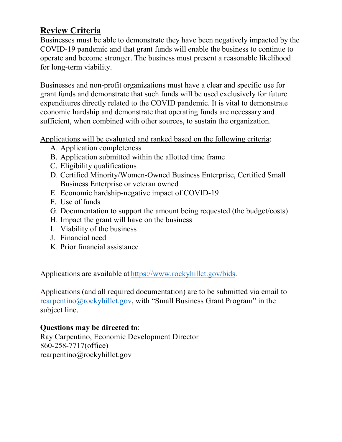# **Review Criteria**

Businesses must be able to demonstrate they have been negatively impacted by the COVID-19 pandemic and that grant funds will enable the business to continue to operate and become stronger. The business must present a reasonable likelihood for long-term viability.

Businesses and non-profit organizations must have a clear and specific use for grant funds and demonstrate that such funds will be used exclusively for future expenditures directly related to the COVID pandemic. It is vital to demonstrate economic hardship and demonstrate that operating funds are necessary and sufficient, when combined with other sources, to sustain the organization.

Applications will be evaluated and ranked based on the following criteria:

- A. Application completeness
- B. Application submitted within the allotted time frame
- C. Eligibility qualifications
- D. Certified Minority/Women-Owned Business Enterprise, Certified Small Business Enterprise or veteran owned
- E. Economic hardship-negative impact of COVID-19
- F. Use of funds
- G. Documentation to support the amount being requested (the budget/costs)
- H. Impact the grant will have on the business
- I. Viability of the business
- J. Financial need
- K. Prior financial assistance

Applications are available at [https://www.rockyhillct.gov/bids.](https://www.rockyhillct.gov/bids) 

Applications (and all required documentation) are to be submitted via email to rcarpentino@rockyhillct.gov, with "Small Business Grant Program" in the subject line.

#### **Questions may be directed to**:

[Ray Carpentino, Economic D](mailto:rcarpentino@rockyhillct.gov)evelopment Director 860-258-7717(office) rcarpentino@rockyhillct.gov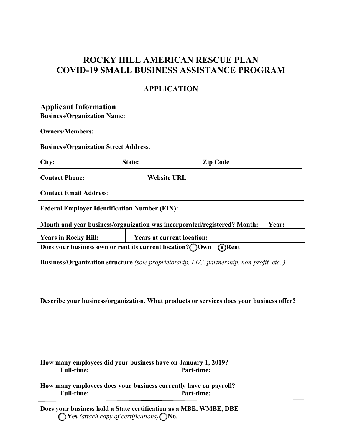# **ROCKY HILL AMERICAN RESCUE PLAN COVID-19 SMALL BUSINESS ASSISTANCE PROGRAM**

#### **APPLICATION**

#### **Applicant Information**

| <b>Business/Organization Name:</b>                                                                  |                                                                 |                                   |                                                                                          |  |  |  |  |
|-----------------------------------------------------------------------------------------------------|-----------------------------------------------------------------|-----------------------------------|------------------------------------------------------------------------------------------|--|--|--|--|
| <b>Owners/Members:</b>                                                                              |                                                                 |                                   |                                                                                          |  |  |  |  |
| <b>Business/Organization Street Address:</b>                                                        |                                                                 |                                   |                                                                                          |  |  |  |  |
| City:                                                                                               | State:                                                          | <b>Zip Code</b>                   |                                                                                          |  |  |  |  |
| <b>Contact Phone:</b>                                                                               |                                                                 | <b>Website URL</b>                |                                                                                          |  |  |  |  |
| <b>Contact Email Address:</b>                                                                       |                                                                 |                                   |                                                                                          |  |  |  |  |
| <b>Federal Employer Identification Number (EIN):</b>                                                |                                                                 |                                   |                                                                                          |  |  |  |  |
| Month and year business/organization was incorporated/registered? Month:<br>Year:                   |                                                                 |                                   |                                                                                          |  |  |  |  |
| <b>Years in Rocky Hill:</b>                                                                         |                                                                 | <b>Years at current location:</b> |                                                                                          |  |  |  |  |
| Does your business own or rent its current location? OWn                                            |                                                                 |                                   | <b>O</b> Rent                                                                            |  |  |  |  |
| Business/Organization structure (sole proprietorship, LLC, partnership, non-profit, etc.)           |                                                                 |                                   |                                                                                          |  |  |  |  |
|                                                                                                     |                                                                 |                                   | Describe your business/organization. What products or services does your business offer? |  |  |  |  |
| How many employees did your business have on January 1, 2019?<br><b>Full-time:</b><br>Part-time:    |                                                                 |                                   |                                                                                          |  |  |  |  |
| How many employees does your business currently have on payroll?<br><b>Full-time:</b><br>Part-time: |                                                                 |                                   |                                                                                          |  |  |  |  |
| Does your business hold a State certification as a MBE, WMBE, DBE                                   | <b>Yes</b> (attach copy of certifications) $\bigcap$ <b>No.</b> |                                   |                                                                                          |  |  |  |  |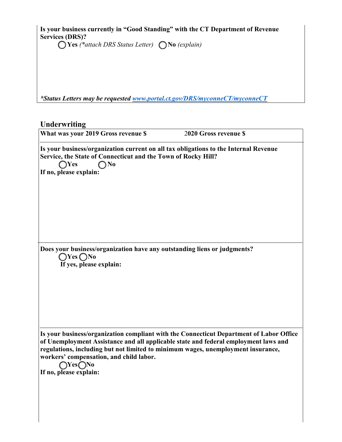**Is your business currently in "Good Standing" with the CT Department of Revenue Services (DRS)?**

**Yes** *(\*attach DRS Status Letter)*  **No** *(explain)*

*\*Status Letters may be requested [www.portal.ct.gov/DRS/myconneCT/myconneCT](http://www.portal.ct.gov/DRS/myconneCT/myconneCT)* 

# **Underwriting What was your 2019 Gross revenue \$** 2**020 Gross revenue \$ Is your business/organization current on all tax obligations to the Internal Revenue Service, the State of Connecticut and the Town of Rocky Hill? Yes No If no, please explain: Does your business/organization have any outstanding liens or judgments?**   $\bigcirc$  **Yes**  $\bigcirc$  **No If yes, please explain: Is your business/organization compliant with the Connecticut Department of Labor Office of Unemployment Assistance and all applicable state and federal employment laws and regulations, including but not limited to minimum wages, unemployment insurance, workers' compensation, and child labor. Yes No If no, please explain:**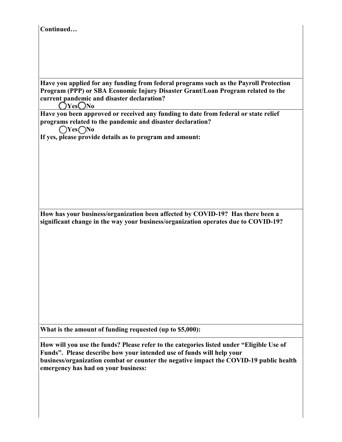**Have you applied for any funding from federal programs such as the Payroll Protection Program (PPP) or SBA Economic Injury Disaster Grant/Loan Program related to the current pandemic and disaster declaration?**

**Yes No**

**Have you been approved or received any funding to date from federal or state relief programs related to the pandemic and disaster declaration?** 

**Yes No**

**If yes, please provide details as to program and amount:** 

**How has your business/organization been affected by COVID-19? Has there been a significant change in the way your business/organization operates due to COVID-19?** 

**What is the amount of funding requested (up to \$5,000):** 

**How will you use the funds? Please refer to the categories listed under "Eligible Use of Funds". Please describe how your intended use of funds will help your business/organization combat or counter the negative impact the COVID-19 public health emergency has had on your business:**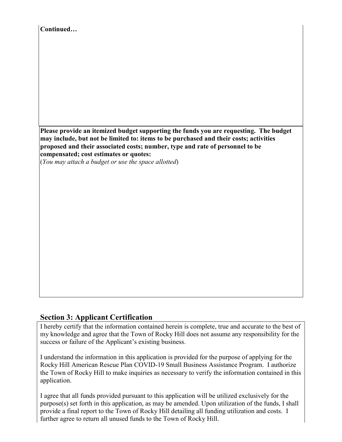| Continued |                                                                                                                                                                                                                                                                                                                                                                  |  |  |
|-----------|------------------------------------------------------------------------------------------------------------------------------------------------------------------------------------------------------------------------------------------------------------------------------------------------------------------------------------------------------------------|--|--|
|           |                                                                                                                                                                                                                                                                                                                                                                  |  |  |
|           |                                                                                                                                                                                                                                                                                                                                                                  |  |  |
|           |                                                                                                                                                                                                                                                                                                                                                                  |  |  |
|           |                                                                                                                                                                                                                                                                                                                                                                  |  |  |
|           |                                                                                                                                                                                                                                                                                                                                                                  |  |  |
|           |                                                                                                                                                                                                                                                                                                                                                                  |  |  |
|           |                                                                                                                                                                                                                                                                                                                                                                  |  |  |
|           | Please provide an itemized budget supporting the funds you are requesting. The budget<br>may include, but not be limited to: items to be purchased and their costs; activities<br>proposed and their associated costs; number, type and rate of personnel to be<br>compensated; cost estimates or quotes:<br>(You may attach a budget or use the space allotted) |  |  |
|           |                                                                                                                                                                                                                                                                                                                                                                  |  |  |
|           |                                                                                                                                                                                                                                                                                                                                                                  |  |  |
|           |                                                                                                                                                                                                                                                                                                                                                                  |  |  |
|           |                                                                                                                                                                                                                                                                                                                                                                  |  |  |
|           |                                                                                                                                                                                                                                                                                                                                                                  |  |  |
|           |                                                                                                                                                                                                                                                                                                                                                                  |  |  |
|           |                                                                                                                                                                                                                                                                                                                                                                  |  |  |
|           |                                                                                                                                                                                                                                                                                                                                                                  |  |  |
|           |                                                                                                                                                                                                                                                                                                                                                                  |  |  |
|           |                                                                                                                                                                                                                                                                                                                                                                  |  |  |

#### **Section 3: Applicant Certification**

I hereby certify that the information contained herein is complete, true and accurate to the best of my knowledge and agree that the Town of Rocky Hill does not assume any responsibility for the success or failure of the Applicant's existing business.

I understand the information in this application is provided for the purpose of applying for the Rocky Hill American Rescue Plan COVID-19 Small Business Assistance Program. I authorize the Town of Rocky Hill to make inquiries as necessary to verify the information contained in this application.

I agree that all funds provided pursuant to this application will be utilized exclusively for the purpose(s) set forth in this application, as may be amended. Upon utilization of the funds, I shall provide a final report to the Town of Rocky Hill detailing all funding utilization and costs. I further agree to return all unused funds to the Town of Rocky Hill.